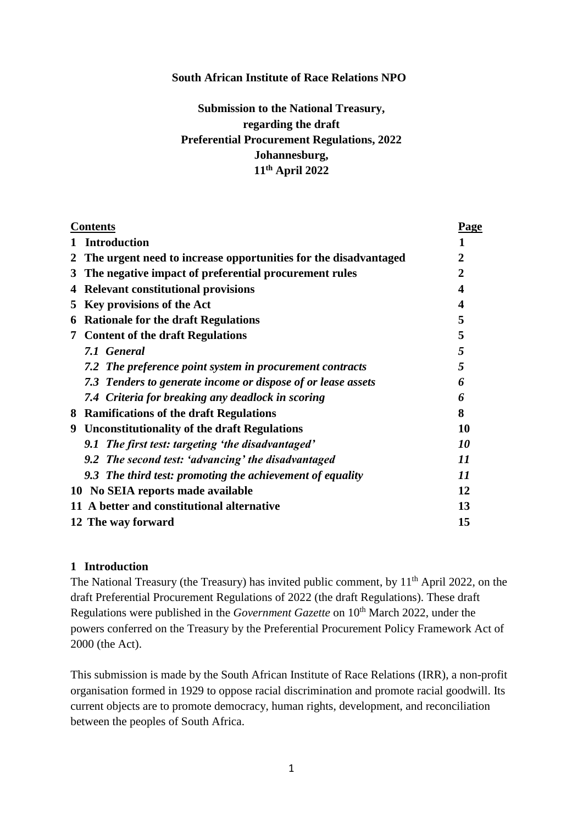#### **South African Institute of Race Relations NPO**

# **Submission to the National Treasury, regarding the draft Preferential Procurement Regulations, 2022 Johannesburg, 11th April 2022**

| <b>Contents</b> |                                                                 | <b>Page</b> |
|-----------------|-----------------------------------------------------------------|-------------|
|                 | <b>Introduction</b>                                             | 1           |
| 2               | The urgent need to increase opportunities for the disadvantaged | 2           |
| 3               | The negative impact of preferential procurement rules           | 2           |
| 4               | <b>Relevant constitutional provisions</b>                       | 4           |
| 5               | Key provisions of the Act                                       | 4           |
| 6               | <b>Rationale for the draft Regulations</b>                      | 5           |
| 7               | <b>Content of the draft Regulations</b>                         | 5           |
|                 | 7.1 General                                                     | 5           |
|                 | 7.2 The preference point system in procurement contracts        | 5           |
|                 | 7.3 Tenders to generate income or dispose of or lease assets    | 6           |
|                 | 7.4 Criteria for breaking any deadlock in scoring               | 6           |
| 8               | <b>Ramifications of the draft Regulations</b>                   | 8           |
| 9               | <b>Unconstitutionality of the draft Regulations</b>             | 10          |
|                 | 9.1 The first test: targeting 'the disadvantaged'               | 10          |
|                 | 9.2 The second test: 'advancing' the disadvantaged              | 11          |
|                 | 9.3 The third test: promoting the achievement of equality       | 11          |
|                 | 10 No SEIA reports made available                               | 12          |
|                 | 11 A better and constitutional alternative                      | 13          |
|                 | 12 The way forward                                              | 15          |

#### **1 Introduction**

The National Treasury (the Treasury) has invited public comment, by 11<sup>th</sup> April 2022, on the draft Preferential Procurement Regulations of 2022 (the draft Regulations). These draft Regulations were published in the *Government Gazette* on 10<sup>th</sup> March 2022, under the powers conferred on the Treasury by the Preferential Procurement Policy Framework Act of 2000 (the Act).

This submission is made by the South African Institute of Race Relations (IRR), a non-profit organisation formed in 1929 to oppose racial discrimination and promote racial goodwill. Its current objects are to promote democracy, human rights, development, and reconciliation between the peoples of South Africa.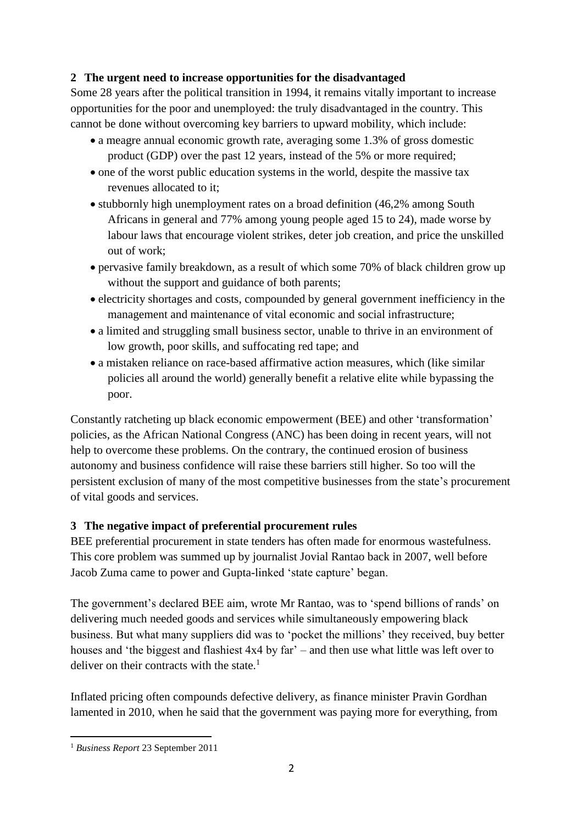### **2 The urgent need to increase opportunities for the disadvantaged**

Some 28 years after the political transition in 1994, it remains vitally important to increase opportunities for the poor and unemployed: the truly disadvantaged in the country. This cannot be done without overcoming key barriers to upward mobility, which include:

- a meagre annual economic growth rate, averaging some 1.3% of gross domestic product (GDP) over the past 12 years, instead of the 5% or more required;
- one of the worst public education systems in the world, despite the massive tax revenues allocated to it;
- stubbornly high unemployment rates on a broad definition (46,2% among South Africans in general and 77% among young people aged 15 to 24), made worse by labour laws that encourage violent strikes, deter job creation, and price the unskilled out of work;
- pervasive family breakdown, as a result of which some 70% of black children grow up without the support and guidance of both parents;
- electricity shortages and costs, compounded by general government inefficiency in the management and maintenance of vital economic and social infrastructure;
- a limited and struggling small business sector, unable to thrive in an environment of low growth, poor skills, and suffocating red tape; and
- a mistaken reliance on race-based affirmative action measures, which (like similar policies all around the world) generally benefit a relative elite while bypassing the poor.

Constantly ratcheting up black economic empowerment (BEE) and other 'transformation' policies, as the African National Congress (ANC) has been doing in recent years, will not help to overcome these problems. On the contrary, the continued erosion of business autonomy and business confidence will raise these barriers still higher. So too will the persistent exclusion of many of the most competitive businesses from the state's procurement of vital goods and services.

## **3 The negative impact of preferential procurement rules**

BEE preferential procurement in state tenders has often made for enormous wastefulness. This core problem was summed up by journalist Jovial Rantao back in 2007, well before Jacob Zuma came to power and Gupta-linked 'state capture' began.

The government's declared BEE aim, wrote Mr Rantao, was to 'spend billions of rands' on delivering much needed goods and services while simultaneously empowering black business. But what many suppliers did was to 'pocket the millions' they received, buy better houses and 'the biggest and flashiest 4x4 by far' – and then use what little was left over to deliver on their contracts with the state.<sup>1</sup>

Inflated pricing often compounds defective delivery, as finance minister Pravin Gordhan lamented in 2010, when he said that the government was paying more for everything, from

<sup>-</sup><sup>1</sup> *Business Report* 23 September 2011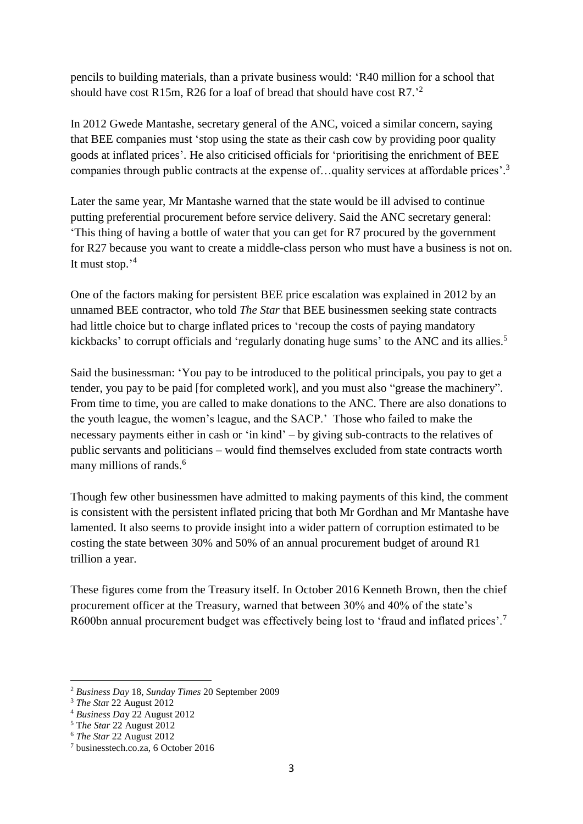pencils to building materials, than a private business would: 'R40 million for a school that should have cost R15m, R26 for a loaf of bread that should have cost R7.<sup>2</sup>

In 2012 Gwede Mantashe, secretary general of the ANC, voiced a similar concern, saying that BEE companies must 'stop using the state as their cash cow by providing poor quality goods at inflated prices'. He also criticised officials for 'prioritising the enrichment of BEE companies through public contracts at the expense of... quality services at affordable prices'.<sup>3</sup>

Later the same year, Mr Mantashe warned that the state would be ill advised to continue putting preferential procurement before service delivery. Said the ANC secretary general: 'This thing of having a bottle of water that you can get for R7 procured by the government for R27 because you want to create a middle-class person who must have a business is not on. It must stop.' 4

One of the factors making for persistent BEE price escalation was explained in 2012 by an unnamed BEE contractor, who told *The Star* that BEE businessmen seeking state contracts had little choice but to charge inflated prices to 'recoup the costs of paying mandatory kickbacks' to corrupt officials and 'regularly donating huge sums' to the ANC and its allies.<sup>5</sup>

Said the businessman: 'You pay to be introduced to the political principals, you pay to get a tender, you pay to be paid [for completed work], and you must also "grease the machinery". From time to time, you are called to make donations to the ANC. There are also donations to the youth league, the women's league, and the SACP.' Those who failed to make the necessary payments either in cash or 'in kind' – by giving sub-contracts to the relatives of public servants and politicians – would find themselves excluded from state contracts worth many millions of rands.<sup>6</sup>

Though few other businessmen have admitted to making payments of this kind, the comment is consistent with the persistent inflated pricing that both Mr Gordhan and Mr Mantashe have lamented. It also seems to provide insight into a wider pattern of corruption estimated to be costing the state between 30% and 50% of an annual procurement budget of around R1 trillion a year.

These figures come from the Treasury itself. In October 2016 Kenneth Brown, then the chief procurement officer at the Treasury, warned that between 30% and 40% of the state's R600bn annual procurement budget was effectively being lost to 'fraud and inflated prices'.<sup>7</sup>

<sup>-</sup><sup>2</sup> *Business Day* 18, *Sunday Times* 20 September 2009

<sup>3</sup> *The Sta*r 22 August 2012

<sup>4</sup> *Business Da*y 22 August 2012

<sup>5</sup> T*he Star* 22 August 2012

<sup>6</sup> *The Star* 22 August 2012

<sup>7</sup> businesstech.co.za, 6 October 2016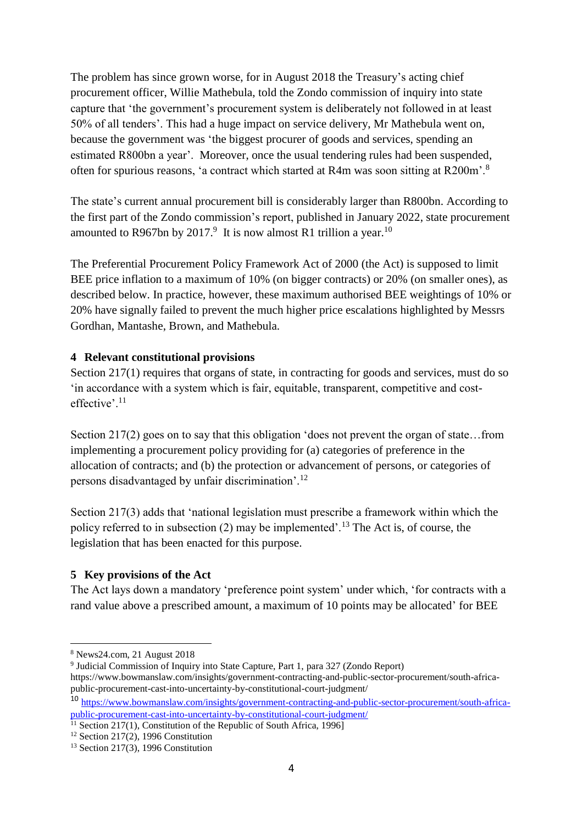The problem has since grown worse, for in August 2018 the Treasury's acting chief procurement officer, Willie Mathebula, told the Zondo commission of inquiry into state capture that 'the government's procurement system is deliberately not followed in at least 50% of all tenders'. This had a huge impact on service delivery, Mr Mathebula went on, because the government was 'the biggest procurer of goods and services, spending an estimated R800bn a year'. Moreover, once the usual tendering rules had been suspended, often for spurious reasons, 'a contract which started at R4m was soon sitting at R200m'.<sup>8</sup>

The state's current annual procurement bill is considerably larger than R800bn. According to the first part of the Zondo commission's report, published in January 2022, state procurement amounted to R967bn by 2017.<sup>9</sup> It is now almost R1 trillion a year.<sup>10</sup>

The Preferential Procurement Policy Framework Act of 2000 (the Act) is supposed to limit BEE price inflation to a maximum of 10% (on bigger contracts) or 20% (on smaller ones), as described below. In practice, however, these maximum authorised BEE weightings of 10% or 20% have signally failed to prevent the much higher price escalations highlighted by Messrs Gordhan, Mantashe, Brown, and Mathebula.

### **4 Relevant constitutional provisions**

Section 217(1) requires that organs of state, in contracting for goods and services, must do so 'in accordance with a system which is fair, equitable, transparent, competitive and costeffective'.<sup>11</sup>

Section 217(2) goes on to say that this obligation 'does not prevent the organ of state…from implementing a procurement policy providing for (a) categories of preference in the allocation of contracts; and (b) the protection or advancement of persons, or categories of persons disadvantaged by unfair discrimination'.<sup>12</sup>

Section 217(3) adds that 'national legislation must prescribe a framework within which the policy referred to in subsection  $(2)$  may be implemented'.<sup>13</sup> The Act is, of course, the legislation that has been enacted for this purpose.

#### **5 Key provisions of the Act**

The Act lays down a mandatory 'preference point system' under which, 'for contracts with a rand value above a prescribed amount, a maximum of 10 points may be allocated' for BEE

<sup>.</sup> <sup>8</sup> News24.com, 21 August 2018

<sup>9</sup> Judicial Commission of Inquiry into State Capture, Part 1, para 327 (Zondo Report) https://www.bowmanslaw.com/insights/government-contracting-and-public-sector-procurement/south-africapublic-procurement-cast-into-uncertainty-by-constitutional-court-judgment/

<sup>10</sup> [https://www.bowmanslaw.com/insights/government-contracting-and-public-sector-procurement/south-africa](https://www.bowmanslaw.com/insights/government-contracting-and-public-sector-procurement/south-africa-public-procurement-cast-into-uncertainty-by-constitutional-court-judgment/)[public-procurement-cast-into-uncertainty-by-constitutional-court-judgment/](https://www.bowmanslaw.com/insights/government-contracting-and-public-sector-procurement/south-africa-public-procurement-cast-into-uncertainty-by-constitutional-court-judgment/)

<sup>&</sup>lt;sup>11</sup> Section 217(1), Constitution of the Republic of South Africa, 1996]

<sup>&</sup>lt;sup>12</sup> Section 217(2), 1996 Constitution

 $13$  Section 217(3), 1996 Constitution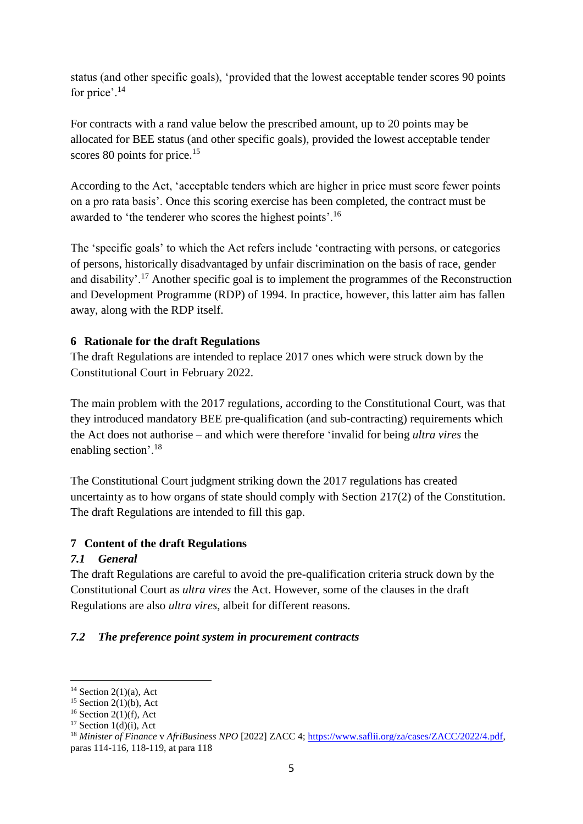status (and other specific goals), 'provided that the lowest acceptable tender scores 90 points for price'.<sup>14</sup>

For contracts with a rand value below the prescribed amount, up to 20 points may be allocated for BEE status (and other specific goals), provided the lowest acceptable tender scores 80 points for price.<sup>15</sup>

According to the Act, 'acceptable tenders which are higher in price must score fewer points on a pro rata basis'. Once this scoring exercise has been completed, the contract must be awarded to 'the tenderer who scores the highest points'.<sup>16</sup>

The 'specific goals' to which the Act refers include 'contracting with persons, or categories of persons, historically disadvantaged by unfair discrimination on the basis of race, gender and disability'.<sup>17</sup> Another specific goal is to implement the programmes of the Reconstruction and Development Programme (RDP) of 1994. In practice, however, this latter aim has fallen away, along with the RDP itself.

### **6 Rationale for the draft Regulations**

The draft Regulations are intended to replace 2017 ones which were struck down by the Constitutional Court in February 2022.

The main problem with the 2017 regulations, according to the Constitutional Court, was that they introduced mandatory BEE pre-qualification (and sub-contracting) requirements which the Act does not authorise – and which were therefore 'invalid for being *ultra vires* the enabling section'.<sup>18</sup>

The Constitutional Court judgment striking down the 2017 regulations has created uncertainty as to how organs of state should comply with Section 217(2) of the Constitution. The draft Regulations are intended to fill this gap.

#### **7 Content of the draft Regulations**

## *7.1 General*

The draft Regulations are careful to avoid the pre-qualification criteria struck down by the Constitutional Court as *ultra vires* the Act. However, some of the clauses in the draft Regulations are also *ultra vires*, albeit for different reasons.

## *7.2 The preference point system in procurement contracts*

 $14$  Section 2(1)(a), Act

 $15$  Section 2(1)(b), Act

 $16$  Section 2(1)(f), Act

 $17$  Section 1(d)(i), Act

<sup>18</sup> *Minister of Finance* v *AfriBusiness NPO* [2022] ZACC 4; [https://www.saflii.org/za/cases/ZACC/2022/4.pdf,](https://www.saflii.org/za/cases/ZACC/2022/4.pdf) paras 114-116, 118-119, at para 118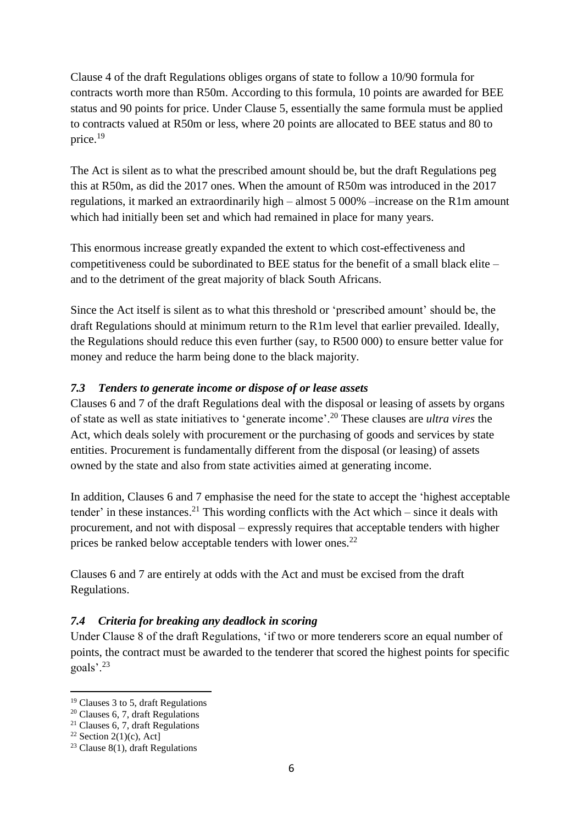Clause 4 of the draft Regulations obliges organs of state to follow a 10/90 formula for contracts worth more than R50m. According to this formula, 10 points are awarded for BEE status and 90 points for price. Under Clause 5, essentially the same formula must be applied to contracts valued at R50m or less, where 20 points are allocated to BEE status and 80 to price.<sup>19</sup>

The Act is silent as to what the prescribed amount should be, but the draft Regulations peg this at R50m, as did the 2017 ones. When the amount of R50m was introduced in the 2017 regulations, it marked an extraordinarily high – almost 5 000% –increase on the R1m amount which had initially been set and which had remained in place for many years.

This enormous increase greatly expanded the extent to which cost-effectiveness and competitiveness could be subordinated to BEE status for the benefit of a small black elite – and to the detriment of the great majority of black South Africans.

Since the Act itself is silent as to what this threshold or 'prescribed amount' should be, the draft Regulations should at minimum return to the R1m level that earlier prevailed. Ideally, the Regulations should reduce this even further (say, to R500 000) to ensure better value for money and reduce the harm being done to the black majority.

### *7.3 Tenders to generate income or dispose of or lease assets*

Clauses 6 and 7 of the draft Regulations deal with the disposal or leasing of assets by organs of state as well as state initiatives to 'generate income'.<sup>20</sup> These clauses are *ultra vires* the Act, which deals solely with procurement or the purchasing of goods and services by state entities. Procurement is fundamentally different from the disposal (or leasing) of assets owned by the state and also from state activities aimed at generating income.

In addition, Clauses 6 and 7 emphasise the need for the state to accept the 'highest acceptable tender' in these instances.<sup>21</sup> This wording conflicts with the Act which – since it deals with procurement, and not with disposal – expressly requires that acceptable tenders with higher prices be ranked below acceptable tenders with lower ones.<sup>22</sup>

Clauses 6 and 7 are entirely at odds with the Act and must be excised from the draft Regulations.

## *7.4 Criteria for breaking any deadlock in scoring*

Under Clause 8 of the draft Regulations, 'if two or more tenderers score an equal number of points, the contract must be awarded to the tenderer that scored the highest points for specific goals'.<sup>23</sup>

<sup>-</sup><sup>19</sup> Clauses 3 to 5, draft Regulations

<sup>20</sup> Clauses 6, 7, draft Regulations

<sup>&</sup>lt;sup>21</sup> Clauses 6, 7, draft Regulations

<sup>&</sup>lt;sup>22</sup> Section 2(1)(c), Act]

<sup>&</sup>lt;sup>23</sup> Clause 8(1), draft Regulations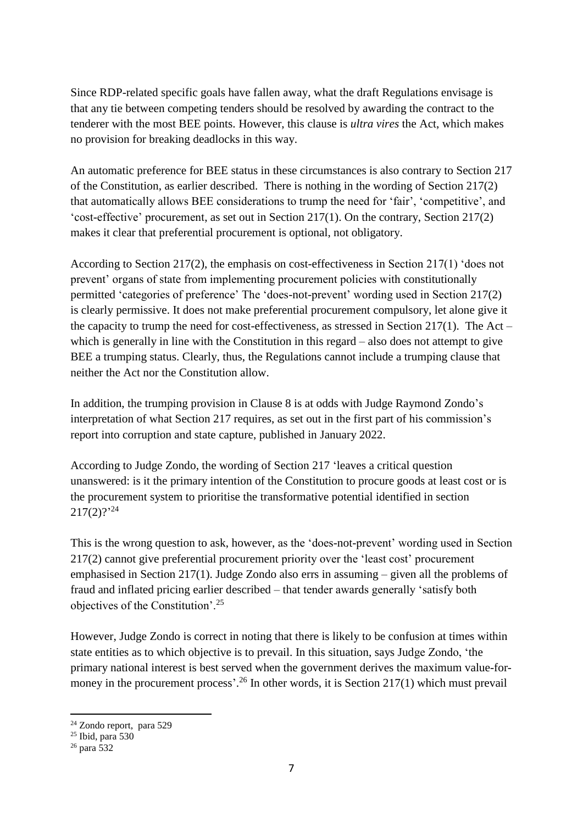Since RDP-related specific goals have fallen away, what the draft Regulations envisage is that any tie between competing tenders should be resolved by awarding the contract to the tenderer with the most BEE points. However, this clause is *ultra vires* the Act, which makes no provision for breaking deadlocks in this way.

An automatic preference for BEE status in these circumstances is also contrary to Section 217 of the Constitution, as earlier described. There is nothing in the wording of Section 217(2) that automatically allows BEE considerations to trump the need for 'fair', 'competitive', and 'cost-effective' procurement, as set out in Section 217(1). On the contrary, Section 217(2) makes it clear that preferential procurement is optional, not obligatory.

According to Section 217(2), the emphasis on cost-effectiveness in Section 217(1) 'does not prevent' organs of state from implementing procurement policies with constitutionally permitted 'categories of preference' The 'does-not-prevent' wording used in Section 217(2) is clearly permissive. It does not make preferential procurement compulsory, let alone give it the capacity to trump the need for cost-effectiveness, as stressed in Section 217(1). The Act – which is generally in line with the Constitution in this regard – also does not attempt to give BEE a trumping status. Clearly, thus, the Regulations cannot include a trumping clause that neither the Act nor the Constitution allow.

In addition, the trumping provision in Clause 8 is at odds with Judge Raymond Zondo's interpretation of what Section 217 requires, as set out in the first part of his commission's report into corruption and state capture, published in January 2022.

According to Judge Zondo, the wording of Section 217 'leaves a critical question unanswered: is it the primary intention of the Constitution to procure goods at least cost or is the procurement system to prioritise the transformative potential identified in section  $217(2)?^{24}$ 

This is the wrong question to ask, however, as the 'does-not-prevent' wording used in Section 217(2) cannot give preferential procurement priority over the 'least cost' procurement emphasised in Section 217(1). Judge Zondo also errs in assuming – given all the problems of fraud and inflated pricing earlier described – that tender awards generally 'satisfy both objectives of the Constitution'.<sup>25</sup>

However, Judge Zondo is correct in noting that there is likely to be confusion at times within state entities as to which objective is to prevail. In this situation, says Judge Zondo, 'the primary national interest is best served when the government derives the maximum value-formoney in the procurement process'.<sup>26</sup> In other words, it is Section 217(1) which must prevail

<sup>&</sup>lt;sup>24</sup> Zondo report, para 529

<sup>25</sup> Ibid, para 530

 $^{26}$  para 532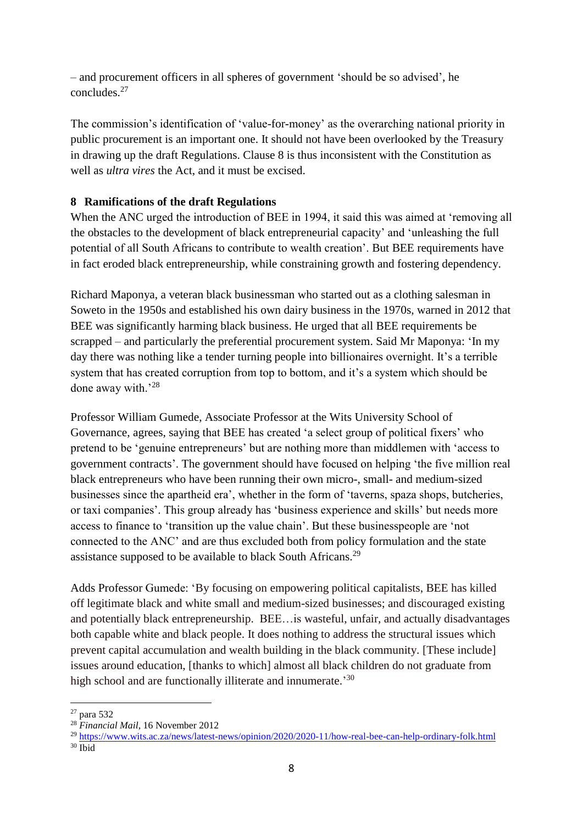– and procurement officers in all spheres of government 'should be so advised', he concludes. 27

The commission's identification of 'value-for-money' as the overarching national priority in public procurement is an important one. It should not have been overlooked by the Treasury in drawing up the draft Regulations. Clause 8 is thus inconsistent with the Constitution as well as *ultra vires* the Act, and it must be excised.

### **8 Ramifications of the draft Regulations**

When the ANC urged the introduction of BEE in 1994, it said this was aimed at 'removing all the obstacles to the development of black entrepreneurial capacity' and 'unleashing the full potential of all South Africans to contribute to wealth creation'. But BEE requirements have in fact eroded black entrepreneurship, while constraining growth and fostering dependency.

Richard Maponya, a veteran black businessman who started out as a clothing salesman in Soweto in the 1950s and established his own dairy business in the 1970s, warned in 2012 that BEE was significantly harming black business. He urged that all BEE requirements be scrapped – and particularly the preferential procurement system. Said Mr Maponya: 'In my day there was nothing like a tender turning people into billionaires overnight. It's a terrible system that has created corruption from top to bottom, and it's a system which should be done away with.'28

Professor William Gumede, Associate Professor at the Wits University School of Governance, agrees, saying that BEE has created 'a select group of political fixers' who pretend to be 'genuine entrepreneurs' but are nothing more than middlemen with 'access to government contracts'. The government should have focused on helping 'the five million real black entrepreneurs who have been running their own micro-, small- and medium-sized businesses since the apartheid era', whether in the form of 'taverns, spaza shops, butcheries, or taxi companies'. This group already has 'business experience and skills' but needs more access to finance to 'transition up the value chain'. But these businesspeople are 'not connected to the ANC' and are thus excluded both from policy formulation and the state assistance supposed to be available to black South Africans.<sup>29</sup>

Adds Professor Gumede: 'By focusing on empowering political capitalists, BEE has killed off legitimate black and white small and medium-sized businesses; and discouraged existing and potentially black entrepreneurship. BEE…is wasteful, unfair, and actually disadvantages both capable white and black people. It does nothing to address the structural issues which prevent capital accumulation and wealth building in the black community. [These include] issues around education, [thanks to which] almost all black children do not graduate from high school and are functionally illiterate and innumerate.'30

<sup>-</sup> $27$  para 532

<sup>28</sup> *Financial Mail*, 16 November 2012

<sup>29</sup> https://www.wits.ac.za/news/latest-news/opinion/2020/2020-11/how-real-bee-can-help-ordinary-folk.html

 $30$  Ibid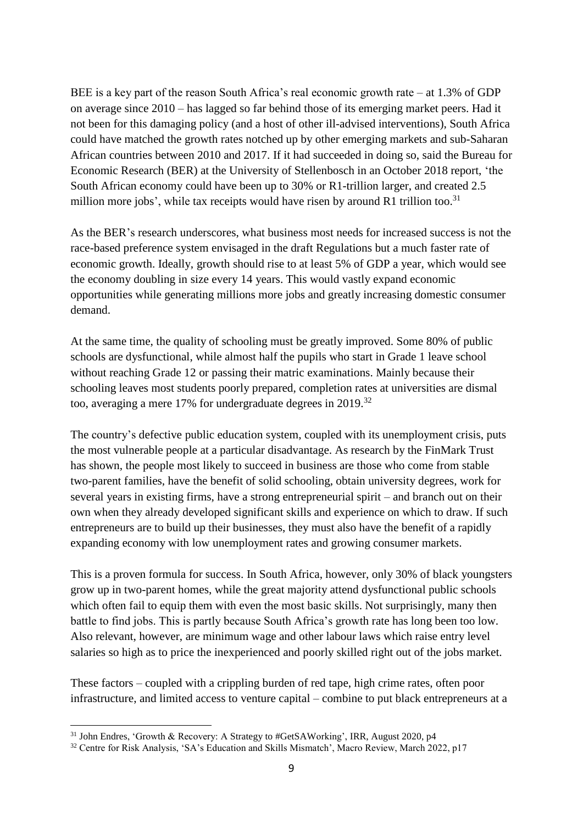BEE is a key part of the reason South Africa's real economic growth rate – at 1.3% of GDP on average since 2010 – has lagged so far behind those of its emerging market peers. Had it not been for this damaging policy (and a host of other ill-advised interventions), South Africa could have matched the growth rates notched up by other emerging markets and sub-Saharan African countries between 2010 and 2017. If it had succeeded in doing so, said the Bureau for Economic Research (BER) at the University of Stellenbosch in an October 2018 report, 'the South African economy could have been up to 30% or R1-trillion larger, and created 2.5 million more jobs', while tax receipts would have risen by around R1 trillion too.<sup>31</sup>

As the BER's research underscores, what business most needs for increased success is not the race-based preference system envisaged in the draft Regulations but a much faster rate of economic growth. Ideally, growth should rise to at least 5% of GDP a year, which would see the economy doubling in size every 14 years. This would vastly expand economic opportunities while generating millions more jobs and greatly increasing domestic consumer demand.

At the same time, the quality of schooling must be greatly improved. Some 80% of public schools are dysfunctional, while almost half the pupils who start in Grade 1 leave school without reaching Grade 12 or passing their matric examinations. Mainly because their schooling leaves most students poorly prepared, completion rates at universities are dismal too, averaging a mere 17% for undergraduate degrees in 2019.<sup>32</sup>

The country's defective public education system, coupled with its unemployment crisis, puts the most vulnerable people at a particular disadvantage. As research by the FinMark Trust has shown, the people most likely to succeed in business are those who come from stable two-parent families, have the benefit of solid schooling, obtain university degrees, work for several years in existing firms, have a strong entrepreneurial spirit – and branch out on their own when they already developed significant skills and experience on which to draw. If such entrepreneurs are to build up their businesses, they must also have the benefit of a rapidly expanding economy with low unemployment rates and growing consumer markets.

This is a proven formula for success. In South Africa, however, only 30% of black youngsters grow up in two-parent homes, while the great majority attend dysfunctional public schools which often fail to equip them with even the most basic skills. Not surprisingly, many then battle to find jobs. This is partly because South Africa's growth rate has long been too low. Also relevant, however, are minimum wage and other labour laws which raise entry level salaries so high as to price the inexperienced and poorly skilled right out of the jobs market.

These factors – coupled with a crippling burden of red tape, high crime rates, often poor infrastructure, and limited access to venture capital – combine to put black entrepreneurs at a

<sup>-</sup><sup>31</sup> John Endres, 'Growth & Recovery: A Strategy to #GetSAWorking', IRR, August 2020, p4

<sup>32</sup> Centre for Risk Analysis, 'SA's Education and Skills Mismatch', Macro Review, March 2022, p17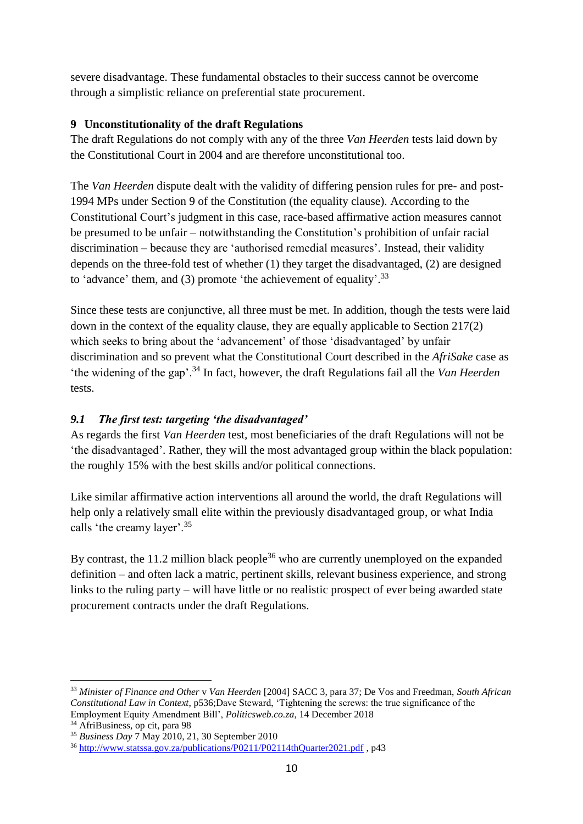severe disadvantage. These fundamental obstacles to their success cannot be overcome through a simplistic reliance on preferential state procurement.

### **9 Unconstitutionality of the draft Regulations**

The draft Regulations do not comply with any of the three *Van Heerden* tests laid down by the Constitutional Court in 2004 and are therefore unconstitutional too.

The *Van Heerden* dispute dealt with the validity of differing pension rules for pre- and post-1994 MPs under Section 9 of the Constitution (the equality clause). According to the Constitutional Court's judgment in this case, race-based affirmative action measures cannot be presumed to be unfair – notwithstanding the Constitution's prohibition of unfair racial discrimination – because they are 'authorised remedial measures'. Instead, their validity depends on the three-fold test of whether (1) they target the disadvantaged, (2) are designed to 'advance' them, and (3) promote 'the achievement of equality'.<sup>33</sup>

Since these tests are conjunctive, all three must be met. In addition, though the tests were laid down in the context of the equality clause, they are equally applicable to Section 217(2) which seeks to bring about the 'advancement' of those 'disadvantaged' by unfair discrimination and so prevent what the Constitutional Court described in the *AfriSake* case as 'the widening of the gap'.<sup>34</sup> In fact, however, the draft Regulations fail all the *Van Heerden* tests.

## *9.1 The first test: targeting 'the disadvantaged'*

As regards the first *Van Heerden* test*,* most beneficiaries of the draft Regulations will not be 'the disadvantaged'. Rather, they will the most advantaged group within the black population: the roughly 15% with the best skills and/or political connections.

Like similar affirmative action interventions all around the world, the draft Regulations will help only a relatively small elite within the previously disadvantaged group, or what India calls 'the creamy layer'.<sup>35</sup>

By contrast, the 11.2 million black people<sup>36</sup> who are currently unemployed on the expanded definition – and often lack a matric, pertinent skills, relevant business experience, and strong links to the ruling party – will have little or no realistic prospect of ever being awarded state procurement contracts under the draft Regulations.

<sup>-</sup><sup>33</sup> *Minister of Finance and Other* v *Van Heerden* [2004] SACC 3, para 37; De Vos and Freedman, *South African Constitutional Law in Context*, p536;Dave Steward, 'Tightening the screws: the true significance of the Employment Equity Amendment Bill', *Politicsweb.co.za*, 14 December 2018

<sup>34</sup> AfriBusiness, op cit, para 98

<sup>35</sup> *Business Day* 7 May 2010, 21, 30 September 2010

<sup>36</sup> <http://www.statssa.gov.za/publications/P0211/P02114thQuarter2021.pdf> , p43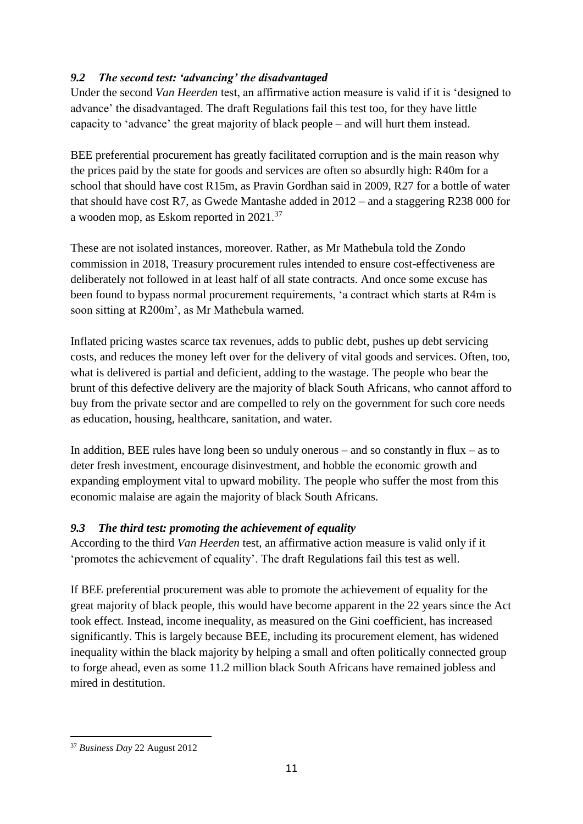# *9.2 The second test: 'advancing' the disadvantaged*

Under the second *Van Heerden* test, an affirmative action measure is valid if it is 'designed to advance' the disadvantaged. The draft Regulations fail this test too, for they have little capacity to 'advance' the great majority of black people – and will hurt them instead.

BEE preferential procurement has greatly facilitated corruption and is the main reason why the prices paid by the state for goods and services are often so absurdly high: R40m for a school that should have cost R15m, as Pravin Gordhan said in 2009, R27 for a bottle of water that should have cost R7, as Gwede Mantashe added in 2012 – and a staggering R238 000 for a wooden mop, as Eskom reported in 2021.<sup>37</sup>

These are not isolated instances, moreover. Rather, as Mr Mathebula told the Zondo commission in 2018, Treasury procurement rules intended to ensure cost-effectiveness are deliberately not followed in at least half of all state contracts. And once some excuse has been found to bypass normal procurement requirements, 'a contract which starts at R4m is soon sitting at R200m', as Mr Mathebula warned.

Inflated pricing wastes scarce tax revenues, adds to public debt, pushes up debt servicing costs, and reduces the money left over for the delivery of vital goods and services. Often, too, what is delivered is partial and deficient, adding to the wastage. The people who bear the brunt of this defective delivery are the majority of black South Africans, who cannot afford to buy from the private sector and are compelled to rely on the government for such core needs as education, housing, healthcare, sanitation, and water.

In addition, BEE rules have long been so unduly onerous – and so constantly in flux – as to deter fresh investment, encourage disinvestment, and hobble the economic growth and expanding employment vital to upward mobility. The people who suffer the most from this economic malaise are again the majority of black South Africans.

# *9.3 The third test: promoting the achievement of equality*

According to the third *Van Heerden* test, an affirmative action measure is valid only if it 'promotes the achievement of equality'. The draft Regulations fail this test as well.

If BEE preferential procurement was able to promote the achievement of equality for the great majority of black people, this would have become apparent in the 22 years since the Act took effect. Instead, income inequality, as measured on the Gini coefficient, has increased significantly. This is largely because BEE, including its procurement element, has widened inequality within the black majority by helping a small and often politically connected group to forge ahead, even as some 11.2 million black South Africans have remained jobless and mired in destitution.

<sup>-</sup><sup>37</sup> *Business Day* 22 August 2012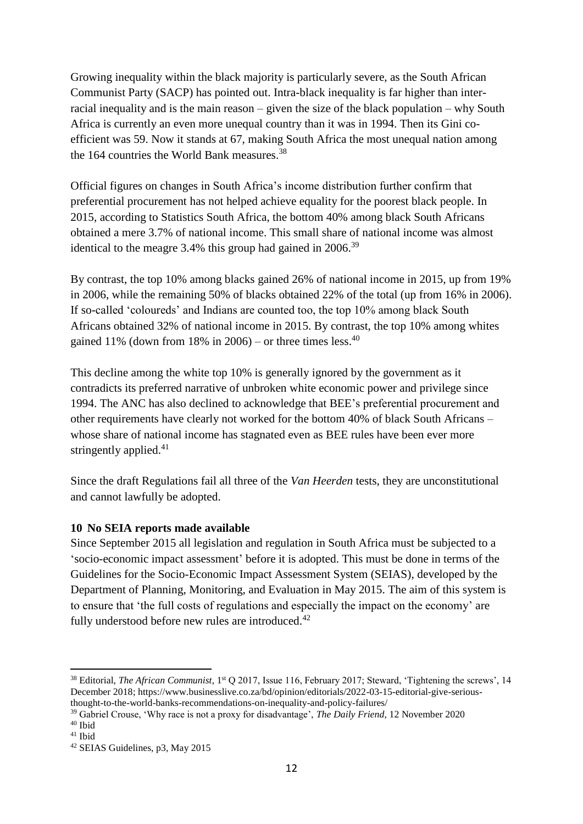Growing inequality within the black majority is particularly severe, as the South African Communist Party (SACP) has pointed out. Intra-black inequality is far higher than interracial inequality and is the main reason – given the size of the black population – why South Africa is currently an even more unequal country than it was in 1994. Then its Gini coefficient was 59. Now it stands at 67, making South Africa the most unequal nation among the 164 countries the World Bank measures. 38

Official figures on changes in South Africa's income distribution further confirm that preferential procurement has not helped achieve equality for the poorest black people. In 2015, according to Statistics South Africa, the bottom 40% among black South Africans obtained a mere 3.7% of national income. This small share of national income was almost identical to the meagre  $3.4\%$  this group had gained in  $2006.<sup>39</sup>$ 

By contrast, the top 10% among blacks gained 26% of national income in 2015, up from 19% in 2006, while the remaining 50% of blacks obtained 22% of the total (up from 16% in 2006). If so-called 'coloureds' and Indians are counted too, the top 10% among black South Africans obtained 32% of national income in 2015. By contrast, the top 10% among whites gained 11% (down from 18% in 2006) – or three times less.<sup>40</sup>

This decline among the white top 10% is generally ignored by the government as it contradicts its preferred narrative of unbroken white economic power and privilege since 1994. The ANC has also declined to acknowledge that BEE's preferential procurement and other requirements have clearly not worked for the bottom 40% of black South Africans – whose share of national income has stagnated even as BEE rules have been ever more stringently applied.<sup>41</sup>

Since the draft Regulations fail all three of the *Van Heerden* tests, they are unconstitutional and cannot lawfully be adopted.

## **10 No SEIA reports made available**

Since September 2015 all legislation and regulation in South Africa must be subjected to a 'socio-economic impact assessment' before it is adopted. This must be done in terms of the Guidelines for the Socio-Economic Impact Assessment System (SEIAS), developed by the Department of Planning, Monitoring, and Evaluation in May 2015. The aim of this system is to ensure that 'the full costs of regulations and especially the impact on the economy' are fully understood before new rules are introduced.<sup>42</sup>

<sup>&</sup>lt;sup>38</sup> Editorial, *The African Communist*, 1<sup>st</sup> Q 2017, Issue 116, February 2017; Steward, 'Tightening the screws', 14 December 2018; https://www.businesslive.co.za/bd/opinion/editorials/2022-03-15-editorial-give-seriousthought-to-the-world-banks-recommendations-on-inequality-and-policy-failures/

<sup>39</sup> Gabriel Crouse, 'Why race is not a proxy for disadvantage', *The Daily Friend*, 12 November 2020

<sup>40</sup> Ibid <sup>41</sup> Ibid

<sup>42</sup> SEIAS Guidelines, p3, May 2015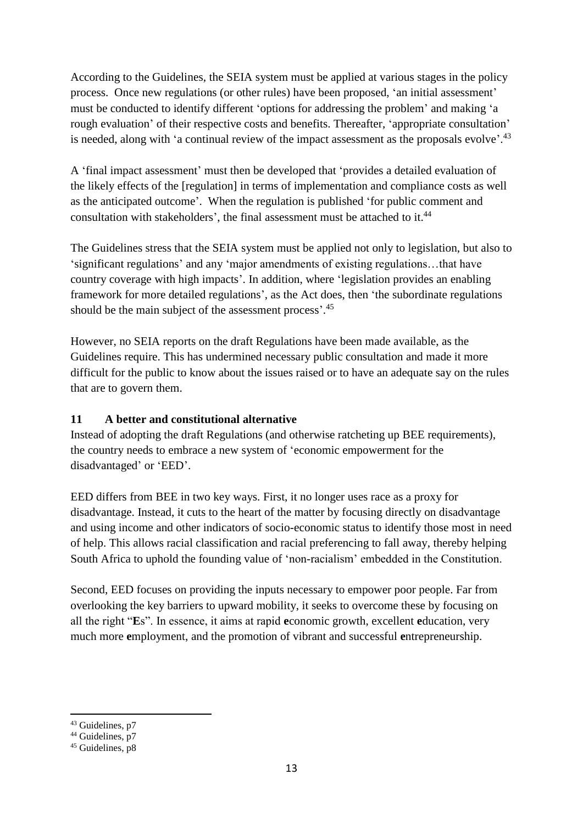According to the Guidelines, the SEIA system must be applied at various stages in the policy process. Once new regulations (or other rules) have been proposed, 'an initial assessment' must be conducted to identify different 'options for addressing the problem' and making 'a rough evaluation' of their respective costs and benefits. Thereafter, 'appropriate consultation' is needed, along with 'a continual review of the impact assessment as the proposals evolve'.<sup>43</sup>

A 'final impact assessment' must then be developed that 'provides a detailed evaluation of the likely effects of the [regulation] in terms of implementation and compliance costs as well as the anticipated outcome'. When the regulation is published 'for public comment and consultation with stakeholders', the final assessment must be attached to it.<sup>44</sup>

The Guidelines stress that the SEIA system must be applied not only to legislation, but also to 'significant regulations' and any 'major amendments of existing regulations…that have country coverage with high impacts'. In addition, where 'legislation provides an enabling framework for more detailed regulations', as the Act does, then 'the subordinate regulations should be the main subject of the assessment process'. 45

However, no SEIA reports on the draft Regulations have been made available, as the Guidelines require. This has undermined necessary public consultation and made it more difficult for the public to know about the issues raised or to have an adequate say on the rules that are to govern them.

## **11 A better and constitutional alternative**

Instead of adopting the draft Regulations (and otherwise ratcheting up BEE requirements), the country needs to embrace a new system of 'economic empowerment for the disadvantaged' or 'EED'.

EED differs from BEE in two key ways. First, it no longer uses race as a proxy for disadvantage. Instead, it cuts to the heart of the matter by focusing directly on disadvantage and using income and other indicators of socio-economic status to identify those most in need of help. This allows racial classification and racial preferencing to fall away, thereby helping South Africa to uphold the founding value of 'non-racialism' embedded in the Constitution.

Second, EED focuses on providing the inputs necessary to empower poor people. Far from overlooking the key barriers to upward mobility, it seeks to overcome these by focusing on all the right "**E**s". In essence, it aims at rapid **e**conomic growth, excellent **e**ducation, very much more **e**mployment, and the promotion of vibrant and successful **e**ntrepreneurship.

<sup>-</sup>43 Guidelines, p7

 $44$  Guidelines,  $p7$ 

 $45$  Guidelines, p8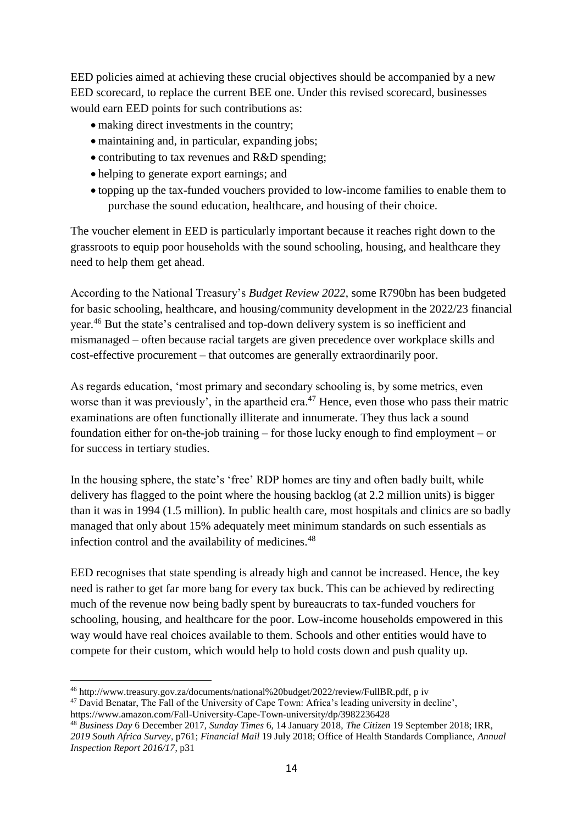EED policies aimed at achieving these crucial objectives should be accompanied by a new EED scorecard, to replace the current BEE one. Under this revised scorecard, businesses would earn EED points for such contributions as:

- making direct investments in the country:
- maintaining and, in particular, expanding jobs;
- contributing to tax revenues and R&D spending;
- helping to generate export earnings; and
- topping up the tax-funded vouchers provided to low-income families to enable them to purchase the sound education, healthcare, and housing of their choice.

The voucher element in EED is particularly important because it reaches right down to the grassroots to equip poor households with the sound schooling, housing, and healthcare they need to help them get ahead.

According to the National Treasury's *Budget Review 2022*, some R790bn has been budgeted for basic schooling, healthcare, and housing/community development in the 2022/23 financial year.<sup>46</sup> But the state's centralised and top-down delivery system is so inefficient and mismanaged – often because racial targets are given precedence over workplace skills and cost-effective procurement – that outcomes are generally extraordinarily poor.

As regards education, 'most primary and secondary schooling is, by some metrics, even worse than it was previously', in the apartheid era.<sup>47</sup> Hence, even those who pass their matric examinations are often functionally illiterate and innumerate. They thus lack a sound foundation either for on-the-job training – for those lucky enough to find employment – or for success in tertiary studies.

In the housing sphere, the state's 'free' RDP homes are tiny and often badly built, while delivery has flagged to the point where the housing backlog (at 2.2 million units) is bigger than it was in 1994 (1.5 million). In public health care, most hospitals and clinics are so badly managed that only about 15% adequately meet minimum standards on such essentials as infection control and the availability of medicines.<sup>48</sup>

EED recognises that state spending is already high and cannot be increased. Hence, the key need is rather to get far more bang for every tax buck. This can be achieved by redirecting much of the revenue now being badly spent by bureaucrats to tax-funded vouchers for schooling, housing, and healthcare for the poor. Low-income households empowered in this way would have real choices available to them. Schools and other entities would have to compete for their custom, which would help to hold costs down and push quality up.

<sup>46</sup> http://www.treasury.gov.za/documents/national%20budget/2022/review/FullBR.pdf, p iv

<sup>47</sup> David Benatar, The Fall of the University of Cape Town: Africa's leading university in decline',

https://www.amazon.com/Fall-University-Cape-Town-university/dp/3982236428

<sup>48</sup> *Business Day* 6 December 2017, *Sunday Times* 6, 14 January 2018, *The Citizen* 19 September 2018; IRR, *2019 South Africa Survey*, p761; *Financial Mail* 19 July 2018; Office of Health Standards Compliance, *Annual Inspection Report 2016/17*, p31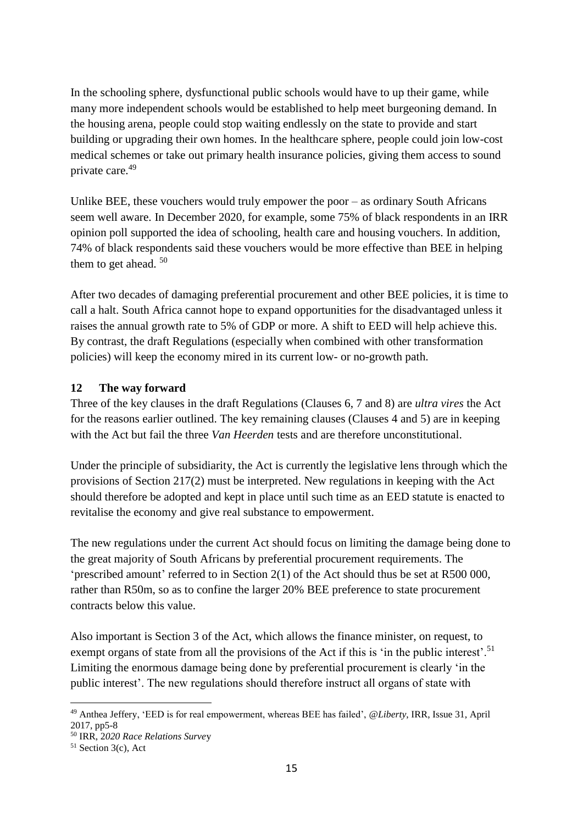In the schooling sphere, dysfunctional public schools would have to up their game, while many more independent schools would be established to help meet burgeoning demand. In the housing arena, people could stop waiting endlessly on the state to provide and start building or upgrading their own homes. In the healthcare sphere, people could join low-cost medical schemes or take out primary health insurance policies, giving them access to sound private care.<sup>49</sup>

Unlike BEE, these vouchers would truly empower the poor – as ordinary South Africans seem well aware. In December 2020, for example, some 75% of black respondents in an IRR opinion poll supported the idea of schooling, health care and housing vouchers. In addition, 74% of black respondents said these vouchers would be more effective than BEE in helping them to get ahead.<sup>50</sup>

After two decades of damaging preferential procurement and other BEE policies, it is time to call a halt. South Africa cannot hope to expand opportunities for the disadvantaged unless it raises the annual growth rate to 5% of GDP or more. A shift to EED will help achieve this. By contrast, the draft Regulations (especially when combined with other transformation policies) will keep the economy mired in its current low- or no-growth path.

#### **12 The way forward**

Three of the key clauses in the draft Regulations (Clauses 6, 7 and 8) are *ultra vires* the Act for the reasons earlier outlined. The key remaining clauses (Clauses 4 and 5) are in keeping with the Act but fail the three *Van Heerden* tests and are therefore unconstitutional.

Under the principle of subsidiarity, the Act is currently the legislative lens through which the provisions of Section 217(2) must be interpreted. New regulations in keeping with the Act should therefore be adopted and kept in place until such time as an EED statute is enacted to revitalise the economy and give real substance to empowerment.

The new regulations under the current Act should focus on limiting the damage being done to the great majority of South Africans by preferential procurement requirements. The 'prescribed amount' referred to in Section 2(1) of the Act should thus be set at R500 000, rather than R50m, so as to confine the larger 20% BEE preference to state procurement contracts below this value.

Also important is Section 3 of the Act, which allows the finance minister, on request, to exempt organs of state from all the provisions of the Act if this is 'in the public interest'.<sup>51</sup> Limiting the enormous damage being done by preferential procurement is clearly 'in the public interest'. The new regulations should therefore instruct all organs of state with

<sup>-</sup><sup>49</sup> Anthea Jeffery, 'EED is for real empowerment, whereas BEE has failed', *@Liberty*, IRR, Issue 31, April 2017, pp5-8

<sup>50</sup> IRR, 2*020 Race Relations Surve*y

 $51$  Section 3(c), Act